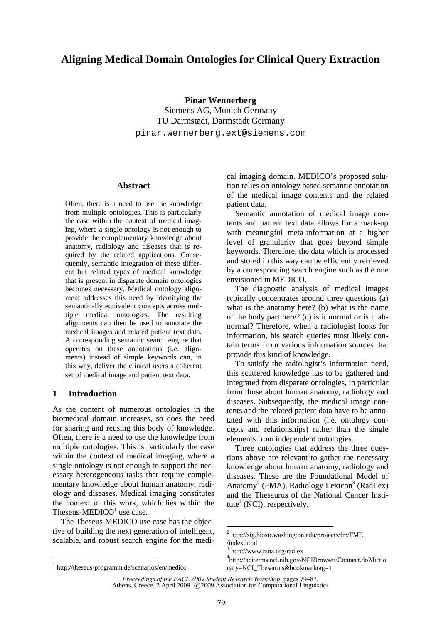# **Aligning Medical Domain Ontologies for Clinical Query Extraction**

**Pinar Wennerberg**

Siemens AG, Munich Germany TU Darmstadt, Darmstadt Germany pinar.wennerberg.ext@siemens.com

### **Abstract**

Often, there is a need to use the knowledge from multiple ontologies. This is particularly the case within the context of medical imaging, where a single ontology is not enough to provide the complementary knowledge about anatomy, radiology and diseases that is required by the related applications. Consequently, semantic integration of these different but related types of medical knowledge that is present in disparate domain ontologies becomes necessary. Medical ontology alignment addresses this need by identifying the semantically equivalent concepts across multiple medical ontologies. The resulting alignments can then be used to annotate the medical images and related patient text data. A corresponding semantic search engine that operates on these annotations (i.e. alignments) instead of simple keywords can, in this way, deliver the clinical users a coherent set of medical image and patient text data.

#### **1 Introduction**

As the content of numerous ontologies in the biomedical domain increases, so does the need for sharing and reusing this body of knowledge. Often, there is a need to use the knowledge from multiple ontologies. This is particularly the case within the context of medical imaging, where a single ontology is not enough to support the necessary heterogeneous tasks that require complementary knowledge about human anatomy, radiology and diseases. Medical imaging constitutes the context of this work, which lies within the Theseus-MEDICO $<sup>1</sup>$  use case.</sup>

The Theseus-MEDICO use case has the objective of building the next generation of intelligent, scalable, and robust search engine for the medical imaging domain. MEDICO's proposed solution relies on ontology based semantic annotation of the medical image contents and the related patient data.

Semantic annotation of medical image contents and patient text data allows for a mark-up with meaningful meta-information at a higher level of granularity that goes beyond simple keywords. Therefore, the data which is processed and stored in this way can be efficiently retrieved by a corresponding search engine such as the one envisioned in MEDICO.

The diagnostic analysis of medical images typically concentrates around three questions (a) what is the anatomy here? (b) what is the name of the body part here? (c) is it normal or is it abnormal? Therefore, when a radiologist looks for information, his search queries most likely contain terms from various information sources that provide this kind of knowledge.

To satisfy the radiologist's information need, this scattered knowledge has to be gathered and integrated from disparate ontologies, in particular from those about human anatomy, radiology and diseases. Subsequently, the medical image contents and the related patient data have to be annotated with this information (i.e. ontology concepts and relationships) rather than the single elements from independent ontologies.

Three ontologies that address the three questions above are relevant to gather the necessary knowledge about human anatomy, radiology and diseases. These are the Foundational Model of Anatomy<sup>2</sup> (FMA), Radiology Lexicon<sup>3</sup> (RadLex) and the Thesaurus of the National Cancer Institute $<sup>4</sup>$  (NCI), respectively.</sup>

<sup>2</sup> http://sig.biostr.washington.edu/projects/fm/FME

<sup>/</sup>index.html

<sup>3</sup> http://www.rsna.org/radlex

<sup>4</sup> http://nciterms.nci.nih.gov/NCIBrowser/Connect.do?dictio nary=NCI\_Thesaurus&bookmarktag=1

<sup>1</sup> http://theseus-programm.de/scenarios/en/medico

*Proceedings of the EACL 2009 Student Research Workshop*, pages 79–87, Athens, Greece, 2 April 2009. © 2009 Association for Computational Linguistics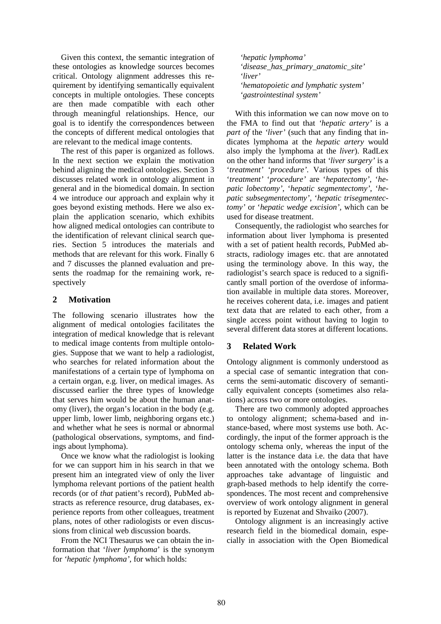Given this context, the semantic integration of these ontologies as knowledge sources becomes critical. Ontology alignment addresses this requirement by identifying semantically equivalent concepts in multiple ontologies. These concepts are then made compatible with each other through meaningful relationships. Hence, our goal is to identify the correspondences between the concepts of different medical ontologies that are relevant to the medical image contents.

The rest of this paper is organized as follows. In the next section we explain the motivation behind aligning the medical ontologies. Section 3 discusses related work in ontology alignment in general and in the biomedical domain. In section 4 we introduce our approach and explain why it goes beyond existing methods. Here we also explain the application scenario, which exhibits how aligned medical ontologies can contribute to the identification of relevant clinical search queries. Section 5 introduces the materials and methods that are relevant for this work. Finally 6 and 7 discusses the planned evaluation and presents the roadmap for the remaining work, respectively

### **2 Motivation**

The following scenario illustrates how the alignment of medical ontologies facilitates the integration of medical knowledge that is relevant to medical image contents from multiple ontologies. Suppose that we want to help a radiologist, who searches for related information about the manifestations of a certain type of lymphoma on a certain organ, e.g. liver, on medical images. As discussed earlier the three types of knowledge that serves him would be about the human anatomy (liver), the organ's location in the body (e.g. upper limb, lower limb, neighboring organs etc.) and whether what he sees is normal or abnormal (pathological observations, symptoms, and findings about lymphoma).

Once we know what the radiologist is looking for we can support him in his search in that we present him an integrated view of only the liver lymphoma relevant portions of the patient health records (or of *that* patient's record), PubMed abstracts as reference resource, drug databases, experience reports from other colleagues, treatment plans, notes of other radiologists or even discussions from clinical web discussion boards.

From the NCI Thesaurus we can obtain the information that '*liver lymphoma*' is the synonym for *'hepatic lymphoma',* for which holds:

*'hepatic lymphoma' 'disease\_has\_primary\_anatomic\_site' 'liver' 'hematopoietic and lymphatic system' 'gastrointestinal system'*

With this information we can now move on to the FMA to find out that *'hepatic artery'* is a *part of* the *'liver'* (such that any finding that indicates lymphoma at the *hepatic artery* would also imply the lymphoma at the *liver*). RadLex on the other hand informs that *'liver surgery'* is a '*treatment'* '*procedure'.* Various types of this '*treatment'* '*procedure'* are '*hepatectomy'*, '*hepatic lobectomy'*, '*hepatic segmentectomy'*, '*hepatic subsegmentectomy'*, '*hepatic trisegmentectomy'* or '*hepatic wedge excision',* which can be used for disease treatment.

Consequently, the radiologist who searches for information about liver lymphoma is presented with a set of patient health records, PubMed abstracts, radiology images etc. that are annotated using the terminology above. In this way, the radiologist's search space is reduced to a significantly small portion of the overdose of information available in multiple data stores. Moreover, he receives coherent data, i.e. images and patient text data that are related to each other, from a single access point without having to login to several different data stores at different locations.

# **3 Related Work**

Ontology alignment is commonly understood as a special case of semantic integration that concerns the semi-automatic discovery of semantically equivalent concepts (sometimes also relations) across two or more ontologies.

There are two commonly adopted approaches to ontology alignment; schema-based and instance-based, where most systems use both. Accordingly, the input of the former approach is the ontology schema only, whereas the input of the latter is the instance data i.e. the data that have been annotated with the ontology schema. Both approaches take advantage of linguistic and graph-based methods to help identify the correspondences. The most recent and comprehensive overview of work ontology alignment in general is reported by Euzenat and Shvaiko (2007).

Ontology alignment is an increasingly active research field in the biomedical domain, especially in association with the Open Biomedical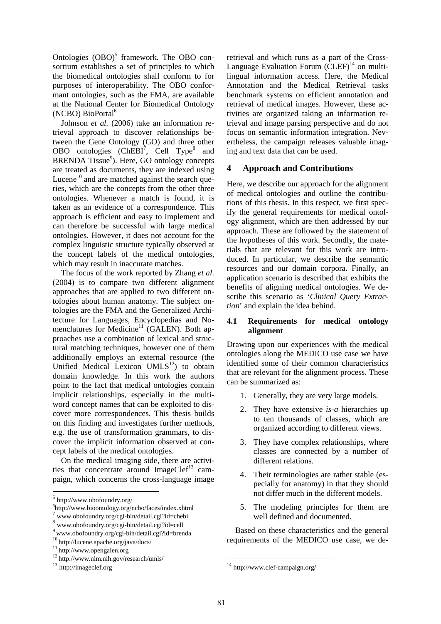Ontologies  $(OBO)^5$  framework. The OBO consortium establishes a set of principles to which the biomedical ontologies shall conform to for purposes of interoperability. The OBO conformant ontologies, such as the FMA, are available at the National Center for Biomedical Ontology (NCBO) BioPortal<sup>6.</sup>

Johnson *et al.* (2006) take an information retrieval approach to discover relationships between the Gene Ontology (GO) and three other OBO ontologies  $(ChEBI<sup>7</sup>, Cell Type<sup>8</sup>$  and BRENDA Tissue<sup>9</sup>). Here, GO ontology concepts are treated as documents, they are indexed using Lucene<sup>10</sup> and are matched against the search queries, which are the concepts from the other three ontologies. Whenever a match is found, it is taken as an evidence of a correspondence. This approach is efficient and easy to implement and can therefore be successful with large medical ontologies. However, it does not account for the complex linguistic structure typically observed at the concept labels of the medical ontologies, which may result in inaccurate matches.

The focus of the work reported by Zhang *et al.* (2004) is to compare two different alignment approaches that are applied to two different ontologies about human anatomy. The subject ontologies are the FMA and the Generalized Architecture for Languages, Encyclopedias and Nomenclatures for Medicine<sup>11</sup> (GALEN). Both approaches use a combination of lexical and structural matching techniques, however one of them additionally employs an external resource (the Unified Medical Lexicon  $UMLS^{12}$ ) to obtain domain knowledge. In this work the authors point to the fact that medical ontologies contain implicit relationships, especially in the multiword concept names that can be exploited to discover more correspondences. This thesis builds on this finding and investigates further methods, e.g. the use of transformation grammars, to discover the implicit information observed at concept labels of the medical ontologies.

On the medical imaging side, there are activities that concentrate around ImageCle $f<sup>13</sup>$  campaign, which concerns the cross-language image retrieval and which runs as a part of the Cross-Language Evaluation Forum  $(CLEF)^{14}$  on multilingual information access. Here, the Medical Annotation and the Medical Retrieval tasks benchmark systems on efficient annotation and retrieval of medical images. However, these activities are organized taking an information retrieval and image parsing perspective and do not focus on semantic information integration. Nevertheless, the campaign releases valuable imaging and text data that can be used.

### **4 Approach and Contributions**

Here, we describe our approach for the alignment of medical ontologies and outline the contributions of this thesis. In this respect, we first specify the general requirements for medical ontology alignment, which are then addressed by our approach. These are followed by the statement of the hypotheses of this work. Secondly, the materials that are relevant for this work are introduced. In particular, we describe the semantic resources and our domain corpora. Finally, an application scenario is described that exhibits the benefits of aligning medical ontologies. We describe this scenario as '*Clinical Query Extraction*' and explain the idea behind.

### **4.1 Requirements for medical ontology alignment**

Drawing upon our experiences with the medical ontologies along the MEDICO use case we have identified some of their common characteristics that are relevant for the alignment process. These can be summarized as:

- 1. Generally, they are very large models.
- 2. They have extensive *is-a* hierarchies up to ten thousands of classes, which are organized according to different views.
- 3. They have complex relationships, where classes are connected by a number of different relations.
- 4. Their terminologies are rather stable (especially for anatomy) in that they should not differ much in the different models.
- 5. The modeling principles for them are well defined and documented.

Based on these characteristics and the general requirements of the MEDICO use case, we de-

<sup>5</sup> http://www.obofoundry.org/

<sup>6</sup> http://www.bioontology.org/ncbo/faces/index.xhtml

<sup>7</sup> www.obofoundry.org/cgi-bin/detail.cgi?id=chebi

<sup>8</sup> www.obofoundry.org/cgi-bin/detail.cgi?id=cell

<sup>9</sup> www.obofoundry.org/cgi-bin/detail.cgi?id=brenda

<sup>10</sup> http://lucene.apache.org/java/docs/

<sup>&</sup>lt;sup>11</sup> http://www.opengalen.org

<sup>12</sup> http://www.nlm.nih.gov/research/umls/

<sup>13</sup> http://imageclef.org

<sup>14</sup> http://www.clef-campaign.org/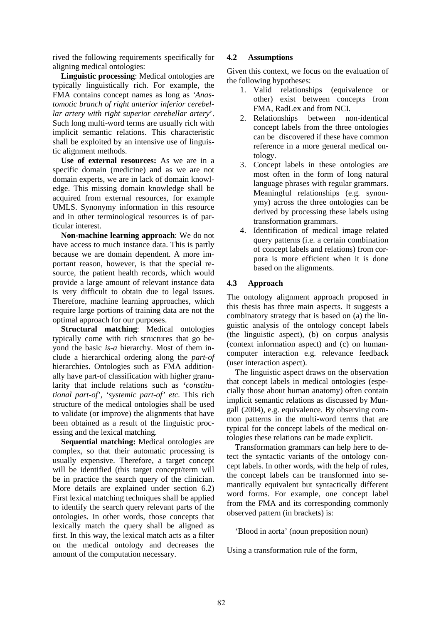rived the following requirements specifically for aligning medical ontologies:

**Linguistic processing**: Medical ontologies are typically linguistically rich. For example, the FMA contains concept names as long as *'Anastomotic branch of right anterior inferior cerebellar artery with right superior cerebellar artery*'. Such long multi-word terms are usually rich with implicit semantic relations. This characteristic shall be exploited by an intensive use of linguistic alignment methods.

**Use of external resources:** As we are in a specific domain (medicine) and as we are not domain experts, we are in lack of domain knowledge. This missing domain knowledge shall be acquired from external resources, for example UMLS. Synonymy information in this resource and in other terminological resources is of particular interest.

**Non-machine learning approach**: We do not have access to much instance data. This is partly because we are domain dependent. A more important reason, however, is that the special resource, the patient health records, which would provide a large amount of relevant instance data is very difficult to obtain due to legal issues. Therefore, machine learning approaches, which require large portions of training data are not the optimal approach for our purposes.

**Structural matching**: Medical ontologies typically come with rich structures that go beyond the basic *is-a* hierarchy. Most of them include a hierarchical ordering along the *part-of* hierarchies. Ontologies such as FMA additionally have part-of classification with higher granularity that include relations such as **'***constitutional part-of', 'systemic part-of' etc.* This rich structure of the medical ontologies shall be used to validate (or improve) the alignments that have been obtained as a result of the linguistic processing and the lexical matching.

**Sequential matching:** Medical ontologies are complex, so that their automatic processing is usually expensive. Therefore, a target concept will be identified (this target concept/term will be in practice the search query of the clinician. More details are explained under section 6.2) First lexical matching techniques shall be applied to identify the search query relevant parts of the ontologies. In other words, those concepts that lexically match the query shall be aligned as first. In this way, the lexical match acts as a filter on the medical ontology and decreases the amount of the computation necessary.

### **4.2 Assumptions**

Given this context, we focus on the evaluation of the following hypotheses:

- 1. Valid relationships (equivalence or other) exist between concepts from FMA, RadLex and from NCI.
- 2. Relationships between non-identical concept labels from the three ontologies can be discovered if these have common reference in a more general medical ontology.
- 3. Concept labels in these ontologies are most often in the form of long natural language phrases with regular grammars. Meaningful relationships (e.g. synonymy) across the three ontologies can be derived by processing these labels using transformation grammars.
- 4. Identification of medical image related query patterns (i.e. a certain combination of concept labels and relations) from corpora is more efficient when it is done based on the alignments.

### **4.3 Approach**

The ontology alignment approach proposed in this thesis has three main aspects. It suggests a combinatory strategy that is based on (a) the linguistic analysis of the ontology concept labels (the linguistic aspect), (b) on corpus analysis (context information aspect) and (c) on humancomputer interaction e.g. relevance feedback (user interaction aspect).

The linguistic aspect draws on the observation that concept labels in medical ontologies (especially those about human anatomy) often contain implicit semantic relations as discussed by Mungall (2004), e.g. equivalence. By observing common patterns in the multi-word terms that are typical for the concept labels of the medical ontologies these relations can be made explicit.

Transformation grammars can help here to detect the syntactic variants of the ontology concept labels. In other words, with the help of rules, the concept labels can be transformed into semantically equivalent but syntactically different word forms. For example, one concept label from the FMA and its corresponding commonly observed pattern (in brackets) is:

'Blood in aorta' (noun preposition noun)

Using a transformation rule of the form,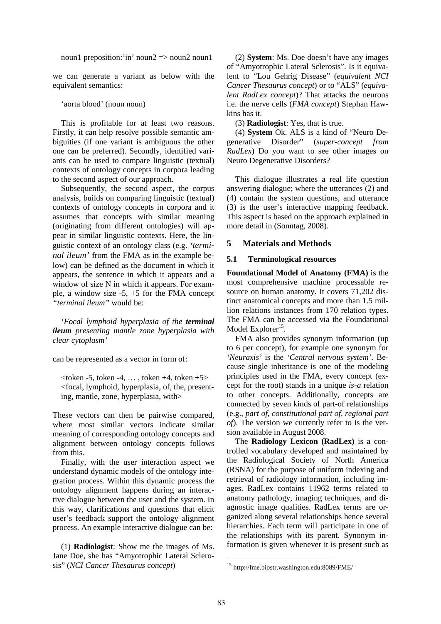noun1 preposition:'in' noun2 => noun2 noun1

we can generate a variant as below with the equivalent semantics:

#### 'aorta blood' (noun noun)

This is profitable for at least two reasons. Firstly, it can help resolve possible semantic ambiguities (if one variant is ambiguous the other one can be preferred). Secondly, identified variants can be used to compare linguistic (textual) contexts of ontology concepts in corpora leading to the second aspect of our approach.

Subsequently, the second aspect, the corpus analysis, builds on comparing linguistic (textual) contexts of ontology concepts in corpora and it assumes that concepts with similar meaning (originating from different ontologies) will appear in similar linguistic contexts. Here, the linguistic context of an ontology class (e.g. *'terminal ileum'* from the FMA as in the example below) can be defined as the document in which it appears, the sentence in which it appears and a window of size N in which it appears. For example, a window size -5, +5 for the FMA concept *"terminal ileum"* would be:

*'Focal lymphoid hyperplasia of the terminal ileum presenting mantle zone hyperplasia with clear cytoplasm'*

can be represented as a vector in form of:

 $\lt$ token -5, token -4, ..., token +4, token +5> <focal, lymphoid, hyperplasia, of, the, presenting, mantle, zone, hyperplasia, with>

These vectors can then be pairwise compared, where most similar vectors indicate similar meaning of corresponding ontology concepts and alignment between ontology concepts follows from this.

Finally, with the user interaction aspect we understand dynamic models of the ontology integration process. Within this dynamic process the ontology alignment happens during an interactive dialogue between the user and the system. In this way, clarifications and questions that elicit user's feedback support the ontology alignment process. An example interactive dialogue can be:

(1) **Radiologist**: Show me the images of Ms. Jane Doe, she has "Amyotrophic Lateral Sclerosis" (*NCI Cancer Thesaurus concept*)

(2) **System**: Ms. Doe doesn't have any images of "Amyotrophic Lateral Sclerosis". Is it equivalent to "Lou Gehrig Disease" (*equivalent NCI Cancer Thesaurus concept*) or to "ALS" (*equivalent RadLex concept*)? That attacks the neurons i.e. the nerve cells (*FMA concept*) Stephan Hawkins has it.

(3) **Radiologist**: Yes, that is true.

(4) **System** Ok. ALS is a kind of "Neuro Degenerative Disorder" (*super-concept from RadLex*) Do you want to see other images on Neuro Degenerative Disorders?

This dialogue illustrates a real life question answering dialogue; where the utterances (2) and (4) contain the system questions, and utterance (3) is the user's interactive mapping feedback. This aspect is based on the approach explained in more detail in (Sonntag, 2008).

### **5 Materials and Methods**

#### **5.1 Terminological resources**

**Foundational Model of Anatomy (FMA)** is the most comprehensive machine processable resource on human anatomy. It covers 71,202 distinct anatomical concepts and more than 1.5 million relations instances from 170 relation types. The FMA can be accessed via the Foundational Model Explorer<sup>15</sup>.

FMA also provides synonym information (up to 6 per concept), for example one synonym for *'Neuraxis'* is the *'Central nervous system'*. Because single inheritance is one of the modeling principles used in the FMA, every concept (except for the root) stands in a unique *is-a* relation to other concepts. Additionally, concepts are connected by seven kinds of part-of relationships (e.g., *part of, constitutional part of, regional part of*). The version we currently refer to is the version available in August 2008.

The **Radiology Lexicon (RadLex)** is a controlled vocabulary developed and maintained by the Radiological Society of North America (RSNA) for the purpose of uniform indexing and retrieval of radiology information, including images. RadLex contains 11962 terms related to anatomy pathology, imaging techniques, and diagnostic image qualities. RadLex terms are organized along several relationships hence several hierarchies. Each term will participate in one of the relationships with its parent. Synonym information is given whenever it is present such as

<sup>15</sup> http://fme.biostr.washington.edu:8089/FME/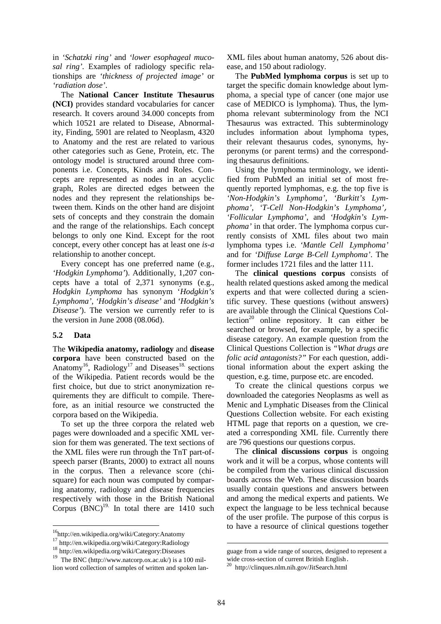in *'Schatzki ring'* and *'lower esophageal mucosal ring'.* Examples of radiology specific relationships are *'thickness of projected image'* or *'radiation dose'*.

The **National Cancer Institute Thesaurus (NCI)** provides standard vocabularies for cancer research. It covers around 34.000 concepts from which 10521 are related to Disease, Abnormality, Finding, 5901 are related to Neoplasm, 4320 to Anatomy and the rest are related to various other categories such as Gene, Protein, etc. The ontology model is structured around three components i.e. Concepts, Kinds and Roles. Concepts are represented as nodes in an acyclic graph, Roles are directed edges between the nodes and they represent the relationships between them. Kinds on the other hand are disjoint sets of concepts and they constrain the domain and the range of the relationships. Each concept belongs to only one Kind. Except for the root concept, every other concept has at least one *is-a* relationship to another concept.

Every concept has one preferred name (e.g., *'Hodgkin Lymphoma'*). Additionally, 1,207 concepts have a total of 2,371 synonyms (e.g., *Hodgkin Lymphoma* has synonym '*Hodgkin's Lymphoma', 'Hodgkin's disease'* and *'Hodgkin's Disease'*). The version we currently refer to is the version in June 2008 (08.06d).

#### **5.2 Data**

The **Wikipedia anatomy, radiology** and **disease corpora** have been constructed based on the Anatomy<sup>16</sup>, Radiology<sup>17</sup> and Diseases<sup>18.</sup> sections of the Wikipedia. Patient records would be the first choice, but due to strict anonymization requirements they are difficult to compile. Therefore, as an initial resource we constructed the corpora based on the Wikipedia.

To set up the three corpora the related web pages were downloaded and a specific XML version for them was generated. The text sections of the XML files were run through the TnT part-ofspeech parser (Brants, 2000) to extract all nouns in the corpus. Then a relevance score (chisquare) for each noun was computed by comparing anatomy, radiology and disease frequencies respectively with those in the British National Corpus  $(BNC)^{19}$ . In total there are 1410 such XML files about human anatomy, 526 about disease, and 150 about radiology.

The **PubMed lymphoma corpus** is set up to target the specific domain knowledge about lymphoma, a special type of cancer (one major use case of MEDICO is lymphoma). Thus, the lymphoma relevant subterminology from the NCI Thesaurus was extracted. This subterminology includes information about lymphoma types, their relevant thesaurus codes, synonyms, hyperonyms (or parent terms) and the corresponding thesaurus definitions.

Using the lymphoma terminology, we identified from PubMed an initial set of most frequently reported lymphomas, e.g. the top five is *'Non-Hodgkin's Lymphoma'*, *'Burkitt's Lymphoma', 'T-Cell Non-Hodgkin's Lymphoma', 'Follicular Lymphoma'*, and *'Hodgkin's Lymphoma'* in that order. The lymphoma corpus currently consists of XML files about two main lymphoma types i.e. *'Mantle Cell Lymphoma'* and for *'Diffuse Large B-Cell Lymphoma'*. The former includes 1721 files and the latter 111.

The **clinical questions corpus** consists of health related questions asked among the medical experts and that were collected during a scientific survey. These questions (without answers) are available through the Clinical Questions Collection<sup>20</sup> online repository. It can either be searched or browsed, for example, by a specific disease category. An example question from the Clinical Questions Collection is *"What drugs are folic acid antagonists?"* For each question, additional information about the expert asking the question, e.g. time, purpose etc. are encoded.

To create the clinical questions corpus we downloaded the categories Neoplasms as well as Menic and Lymphatic Diseases from the Clinical Questions Collection website. For each existing HTML page that reports on a question, we created a corresponding XML file. Currently there are 796 questions our questions corpus.

The **clinical discussions corpus** is ongoing work and it will be a corpus, whose contents will be compiled from the various clinical discussion boards across the Web. These discussion boards usually contain questions and answers between and among the medical experts and patients. We expect the language to be less technical because of the user profile. The purpose of this corpus is to have a resource of clinical questions together

<sup>16</sup>http://en.wikipedia.org/wiki/Category:Anatomy

<sup>17</sup> http://en.wikipedia.org/wiki/Category:Radiology

<sup>18</sup> http://en.wikipedia.org/wiki/Category:Diseases

<sup>19</sup> The BNC (http://www.natcorp.ox.ac.uk/) is a 100 million word collection of samples of written and spoken lan-

guage from a wide range of sources, designed to represent a wide cross-section of current British English.

<sup>20</sup> http://clinques.nlm.nih.gov/JitSearch.html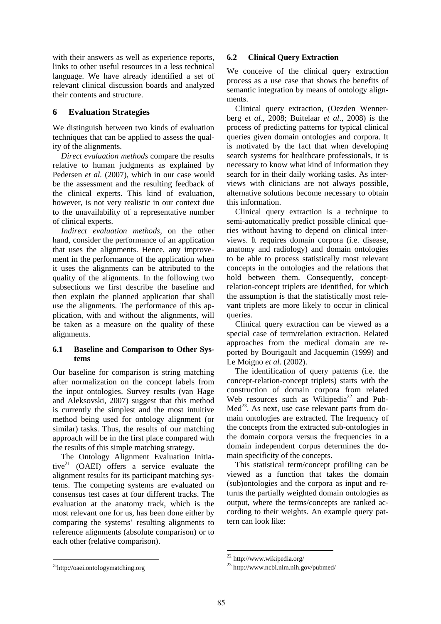with their answers as well as experience reports, links to other useful resources in a less technical language. We have already identified a set of relevant clinical discussion boards and analyzed their contents and structure.

# **6 Evaluation Strategies**

We distinguish between two kinds of evaluation techniques that can be applied to assess the quality of the alignments.

*Direct evaluation methods* compare the results relative to human judgments as explained by Pedersen *et al.* (2007), which in our case would be the assessment and the resulting feedback of the clinical experts. This kind of evaluation, however, is not very realistic in our context due to the unavailability of a representative number of clinical experts.

*Indirect evaluation methods,* on the other hand, consider the performance of an application that uses the alignments. Hence, any improvement in the performance of the application when it uses the alignments can be attributed to the quality of the alignments. In the following two subsections we first describe the baseline and then explain the planned application that shall use the alignments. The performance of this application, with and without the alignments, will be taken as a measure on the quality of these alignments.

### **6.1 Baseline and Comparison to Other Systems**

Our baseline for comparison is string matching after normalization on the concept labels from the input ontologies. Survey results (van Hage and Aleksovski, 2007) suggest that this method is currently the simplest and the most intuitive method being used for ontology alignment (or similar) tasks. Thus, the results of our matching approach will be in the first place compared with the results of this simple matching strategy.

The Ontology Alignment Evaluation Initiative $^{21}$  (OAEI) offers a service evaluate the alignment results for its participant matching systems. The competing systems are evaluated on consensus test cases at four different tracks. The evaluation at the anatomy track, which is the most relevant one for us, has been done either by comparing the systems' resulting alignments to reference alignments (absolute comparison) or to each other (relative comparison).

# **6.2 Clinical Query Extraction**

We conceive of the clinical query extraction process as a use case that shows the benefits of semantic integration by means of ontology alignments.

Clinical query extraction, (Oezden Wennerberg *et al*., 2008; Buitelaar *et al*., 2008) is the process of predicting patterns for typical clinical queries given domain ontologies and corpora. It is motivated by the fact that when developing search systems for healthcare professionals, it is necessary to know what kind of information they search for in their daily working tasks. As interviews with clinicians are not always possible, alternative solutions become necessary to obtain this information.

Clinical query extraction is a technique to semi-automatically predict possible clinical queries without having to depend on clinical interviews. It requires domain corpora (i.e. disease, anatomy and radiology) and domain ontologies to be able to process statistically most relevant concepts in the ontologies and the relations that hold between them. Consequently, conceptrelation-concept triplets are identified, for which the assumption is that the statistically most relevant triplets are more likely to occur in clinical queries.

Clinical query extraction can be viewed as a special case of term/relation extraction. Related approaches from the medical domain are reported by Bourigault and Jacquemin (1999) and Le Moigno *et al*. (2002).

The identification of query patterns (i.e. the concept-relation-concept triplets) starts with the construction of domain corpora from related Web resources such as Wikipedia<sup>22</sup> and Pub-Med<sup>23</sup>. As next, use case relevant parts from domain ontologies are extracted. The frequency of the concepts from the extracted sub-ontologies in the domain corpora versus the frequencies in a domain independent corpus determines the domain specificity of the concepts.

This statistical term/concept profiling can be viewed as a function that takes the domain (sub)ontologies and the corpora as input and returns the partially weighted domain ontologies as output, where the terms/concepts are ranked according to their weights. An example query pattern can look like:

<sup>22</sup> http://www.wikipedia.org/

<sup>23</sup> http://www.ncbi.nlm.nih.gov/pubmed/

<sup>21</sup>http://oaei.ontologymatching.org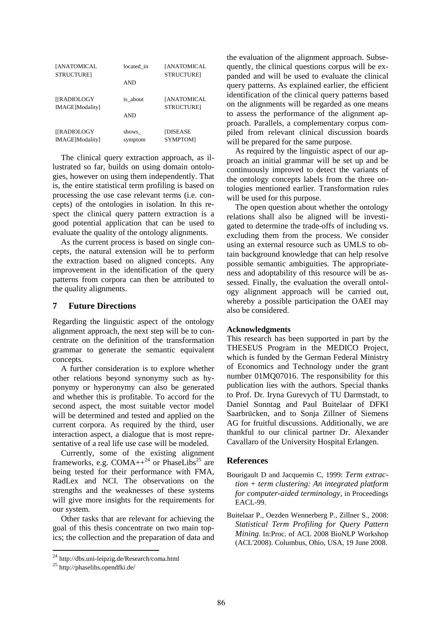| <b>[ANATOMICAL</b><br><b>STRUCTURE</b> | located in       | <b>[ANATOMICAL</b><br><b>STRUCTURE1</b> |
|----------------------------------------|------------------|-----------------------------------------|
|                                        | <b>AND</b>       |                                         |
| <b>[[RADIOLOGY</b><br>IMAGE]Modality]  | is about         | <b>[ANATOMICAL</b><br><b>STRUCTURE1</b> |
|                                        | AND              |                                         |
| <b>[[RADIOLOGY</b><br>IMAGE]Modality]  | shows<br>symptom | <b>[DISEASE</b><br>SYMPTOM]             |

The clinical query extraction approach, as illustrated so far, builds on using domain ontologies, however on using them independently. That is, the entire statistical term profiling is based on processing the use case relevant terms (i.e. concepts) of the ontologies in isolation. In this respect the clinical query pattern extraction is a good potential application that can be used to evaluate the quality of the ontology alignments.

As the current process is based on single concepts, the natural extension will be to perform the extraction based on aligned concepts. Any improvement in the identification of the query patterns from corpora can then be attributed to the quality alignments.

#### **7 Future Directions**

Regarding the linguistic aspect of the ontology alignment approach, the next step will be to concentrate on the definition of the transformation grammar to generate the semantic equivalent concepts.

A further consideration is to explore whether other relations beyond synonymy such as hyponymy or hyperonymy can also be generated and whether this is profitable. To accord for the second aspect, the most suitable vector model will be determined and tested and applied on the current corpora. As required by the third, user interaction aspect, a dialogue that is most representative of a real life use case will be modeled.

Currently, some of the existing alignment frameworks, e.g.  $COMA++^{24}$  or PhaseLibs<sup>25</sup> are being tested for their performance with FMA, RadLex and NCI. The observations on the strengths and the weaknesses of these systems will give more insights for the requirements for our system.

Other tasks that are relevant for achieving the goal of this thesis concentrate on two main topics; the collection and the preparation of data and the evaluation of the alignment approach. Subsequently, the clinical questions corpus will be expanded and will be used to evaluate the clinical query patterns. As explained earlier, the efficient identification of the clinical query patterns based on the alignments will be regarded as one means to assess the performance of the alignment approach. Parallels, a complementary corpus compiled from relevant clinical discussion boards will be prepared for the same purpose.

As required by the linguistic aspect of our approach an initial grammar will be set up and be continuously improved to detect the variants of the ontology concepts labels from the three ontologies mentioned earlier. Transformation rules will be used for this purpose.

The open question about whether the ontology relations shall also be aligned will be investigated to determine the trade-offs of including vs. excluding them from the process. We consider using an external resource such as UMLS to obtain background knowledge that can help resolve possible semantic ambiguities. The appropriateness and adoptability of this resource will be assessed. Finally, the evaluation the overall ontology alignment approach will be carried out, whereby a possible participation the OAEI may also be considered.

### **Acknowledgments**

This research has been supported in part by the THESEUS Program in the MEDICO Project, which is funded by the German Federal Ministry of Economics and Technology under the grant number 01MQ07016. The responsibility for this publication lies with the authors. Special thanks to Prof. Dr. Iryna Gurevych of TU Darmstadt, to Daniel Sonntag and Paul Buitelaar of DFKI Saarbrücken, and to Sonja Zillner of Siemens AG for fruitful discussions. Additionally, we are thankful to our clinical partner Dr. Alexander Cavallaro of the University Hospital Erlangen.

#### **References**

- Bourigault D and Jacquemin C, 1999: *Term extraction + term clustering: An integrated platform for computer-aided terminology*, in Proceedings EACL-99.
- Buitelaar P., Oezden Wennerberg P., Zillner S., 2008: *Statistical Term Profiling for Query Pattern Mining*. In:Proc. of ACL 2008 BioNLP Workshop (ACL'2008). Columbus, Ohio, USA, 19 June 2008.

<sup>24</sup> http://dbs.uni-leipzig.de/Research/coma.html

<sup>25</sup> http://phaselibs.opendfki.de/